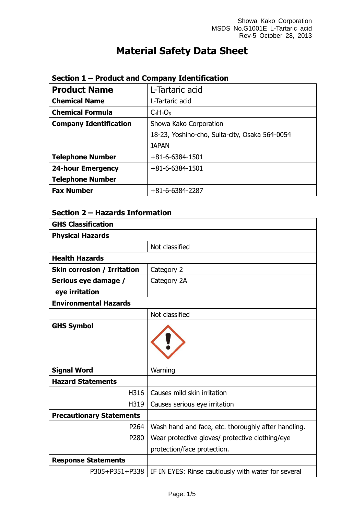# **Material Safety Data Sheet**

| <b>Product Name</b>           | L-Tartaric acid                                |  |
|-------------------------------|------------------------------------------------|--|
| <b>Chemical Name</b>          | L-Tartaric acid                                |  |
| <b>Chemical Formula</b>       | $C_4H_4O_6$                                    |  |
| <b>Company Identification</b> | Showa Kako Corporation                         |  |
|                               | 18-23, Yoshino-cho, Suita-city, Osaka 564-0054 |  |
|                               | <b>JAPAN</b>                                   |  |
| <b>Telephone Number</b>       | $+81 - 6 - 6384 - 1501$                        |  |
| <b>24-hour Emergency</b>      | $+81 - 6 - 6384 - 1501$                        |  |
| <b>Telephone Number</b>       |                                                |  |
| <b>Fax Number</b>             | $+81-6-6384-2287$                              |  |

## **Section 1 – Product and Company Identification**

## **Section 2 – Hazards Information**

| <b>GHS Classification</b>          |                                                     |
|------------------------------------|-----------------------------------------------------|
| <b>Physical Hazards</b>            |                                                     |
|                                    | Not classified                                      |
| <b>Health Hazards</b>              |                                                     |
| <b>Skin corrosion / Irritation</b> | Category 2                                          |
| Serious eye damage /               | Category 2A                                         |
| eye irritation                     |                                                     |
| <b>Environmental Hazards</b>       |                                                     |
|                                    | Not classified                                      |
| <b>GHS Symbol</b>                  |                                                     |
| <b>Signal Word</b>                 | Warning                                             |
| <b>Hazard Statements</b>           |                                                     |
| H316                               | Causes mild skin irritation                         |
| H319                               | Causes serious eye irritation                       |
| <b>Precautionary Statements</b>    |                                                     |
| P264                               | Wash hand and face, etc. thoroughly after handling. |
| P280                               | Wear protective gloves/ protective clothing/eye     |
|                                    | protection/face protection.                         |
| <b>Response Statements</b>         |                                                     |
| P305+P351+P338                     | IF IN EYES: Rinse cautiously with water for several |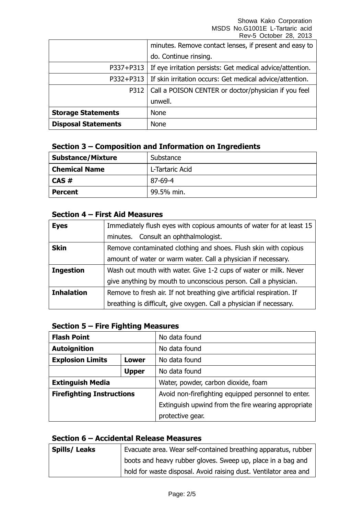|                            | minutes. Remove contact lenses, if present and easy to                |
|----------------------------|-----------------------------------------------------------------------|
|                            | do. Continue rinsing.                                                 |
|                            | P337+P313   If eye irritation persists: Get medical advice/attention. |
|                            | P332+P313   If skin irritation occurs: Get medical advice/attention.  |
| P312                       | Call a POISON CENTER or doctor/physician if you feel                  |
|                            | unwell.                                                               |
| <b>Storage Statements</b>  | <b>None</b>                                                           |
| <b>Disposal Statements</b> | None                                                                  |

## **Section 3 – Composition and Information on Ingredients**

| <b>Substance/Mixture</b> | Substance       |
|--------------------------|-----------------|
| <b>Chemical Name</b>     | L-Tartaric Acid |
| $CAS \#$                 | 87-69-4         |
| <b>Percent</b>           | 99.5% min.      |

## **Section 4 – First Aid Measures**

| <b>Eyes</b>       | Immediately flush eyes with copious amounts of water for at least 15  |  |
|-------------------|-----------------------------------------------------------------------|--|
|                   | minutes. Consult an ophthalmologist.                                  |  |
| <b>Skin</b>       | Remove contaminated clothing and shoes. Flush skin with copious       |  |
|                   | amount of water or warm water. Call a physician if necessary.         |  |
| <b>Ingestion</b>  | Wash out mouth with water. Give 1-2 cups of water or milk. Never      |  |
|                   | give anything by mouth to unconscious person. Call a physician.       |  |
| <b>Inhalation</b> | Remove to fresh air. If not breathing give artificial respiration. If |  |
|                   | breathing is difficult, give oxygen. Call a physician if necessary.   |  |

## **Section 5 – Fire Fighting Measures**

| <b>Flash Point</b>               |  | No data found                                       |
|----------------------------------|--|-----------------------------------------------------|
| <b>Autoignition</b>              |  | No data found                                       |
| <b>Explosion Limits</b><br>Lower |  | No data found                                       |
| <b>Upper</b>                     |  | No data found                                       |
| <b>Extinguish Media</b>          |  | Water, powder, carbon dioxide, foam                 |
| <b>Firefighting Instructions</b> |  | Avoid non-firefighting equipped personnel to enter. |
|                                  |  | Extinguish upwind from the fire wearing appropriate |
|                                  |  | protective gear.                                    |

#### **Section 6 – Accidental Release Measures**

| <b>Spills/Leaks</b> | Evacuate area. Wear self-contained breathing apparatus, rubber   |
|---------------------|------------------------------------------------------------------|
|                     | boots and heavy rubber gloves. Sweep up, place in a bag and      |
|                     | hold for waste disposal. Avoid raising dust. Ventilator area and |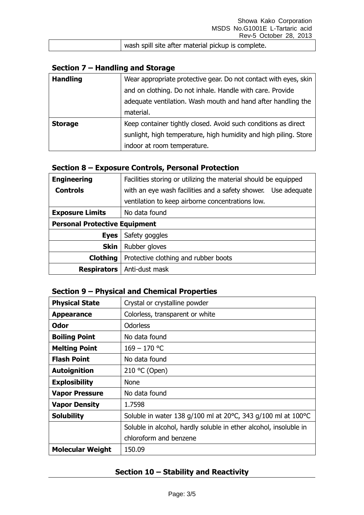| wash spill site after material pickup is complete. |
|----------------------------------------------------|

## **Section 7 – Handling and Storage**

| <b>Handling</b> | Wear appropriate protective gear. Do not contact with eyes, skin |
|-----------------|------------------------------------------------------------------|
|                 | and on clothing. Do not inhale. Handle with care. Provide        |
|                 | adequate ventilation. Wash mouth and hand after handling the     |
|                 | material.                                                        |
| <b>Storage</b>  | Keep container tightly closed. Avoid such conditions as direct   |
|                 | sunlight, high temperature, high humidity and high piling. Store |
|                 | indoor at room temperature.                                      |

## **Section 8 – Exposure Controls, Personal Protection**

| <b>Engineering</b>                   | Facilities storing or utilizing the material should be equipped |  |
|--------------------------------------|-----------------------------------------------------------------|--|
| <b>Controls</b>                      | with an eye wash facilities and a safety shower. Use adequate   |  |
|                                      | ventilation to keep airborne concentrations low.                |  |
| <b>Exposure Limits</b>               | No data found                                                   |  |
| <b>Personal Protective Equipment</b> |                                                                 |  |
| <b>Eyes</b>                          | Safety goggles                                                  |  |
| <b>Skin</b>                          | Rubber gloves                                                   |  |
| <b>Clothing</b>                      | Protective clothing and rubber boots                            |  |
| <b>Respirators</b>                   | Anti-dust mask                                                  |  |

#### **Section 9 – Physical and Chemical Properties**

| <b>Physical State</b>   | Crystal or crystalline powder                                     |
|-------------------------|-------------------------------------------------------------------|
| <b>Appearance</b>       | Colorless, transparent or white                                   |
| Odor                    | <b>Odorless</b>                                                   |
| <b>Boiling Point</b>    | No data found                                                     |
| <b>Melting Point</b>    | $169 - 170$ °C                                                    |
| <b>Flash Point</b>      | No data found                                                     |
| <b>Autoignition</b>     | 210 $°C$ (Open)                                                   |
| <b>Explosibility</b>    | <b>None</b>                                                       |
| <b>Vapor Pressure</b>   | No data found                                                     |
| <b>Vapor Density</b>    | 1.7598                                                            |
| <b>Solubility</b>       | Soluble in water 138 $q/100$ ml at 20°C, 343 $q/100$ ml at 100°C  |
|                         | Soluble in alcohol, hardly soluble in ether alcohol, insoluble in |
|                         | chloroform and benzene                                            |
| <b>Molecular Weight</b> | 150.09                                                            |

## **Section 10 – Stability and Reactivity**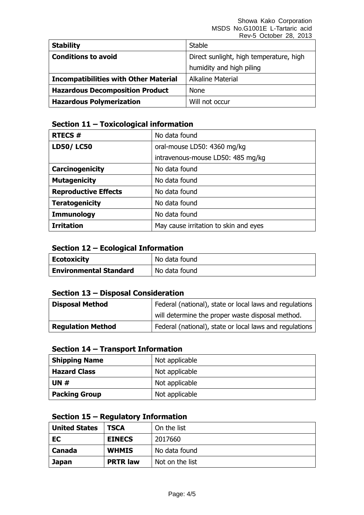| <b>Stability</b>                             | <b>Stable</b>                           |
|----------------------------------------------|-----------------------------------------|
| <b>Conditions to avoid</b>                   | Direct sunlight, high temperature, high |
|                                              | humidity and high piling                |
| <b>Incompatibilities with Other Material</b> | <b>Alkaline Material</b>                |
| <b>Hazardous Decomposition Product</b>       | <b>None</b>                             |
| <b>Hazardous Polymerization</b>              | Will not occur                          |

## **Section 11 – Toxicological information**

| <b>RTECS#</b>               | No data found                         |
|-----------------------------|---------------------------------------|
| <b>LD50/LC50</b>            | oral-mouse LD50: 4360 mg/kg           |
|                             | intravenous-mouse LD50: 485 mg/kg     |
| Carcinogenicity             | No data found                         |
| <b>Mutagenicity</b>         | No data found                         |
| <b>Reproductive Effects</b> | No data found                         |
| <b>Teratogenicity</b>       | No data found                         |
| <b>Immunology</b>           | No data found                         |
| <b>Irritation</b>           | May cause irritation to skin and eyes |

## **Section 12 – Ecological Information**

| <b>Ecotoxicity</b>            | No data found |
|-------------------------------|---------------|
| <b>Environmental Standard</b> | No data found |

## **Section 13 – Disposal Consideration**

| <b>Disposal Method</b>   | Federal (national), state or local laws and regulations |
|--------------------------|---------------------------------------------------------|
|                          | will determine the proper waste disposal method.        |
| <b>Regulation Method</b> | Federal (national), state or local laws and regulations |

#### **Section 14 – Transport Information**

| <b>Shipping Name</b> | Not applicable |
|----------------------|----------------|
| <b>Hazard Class</b>  | Not applicable |
| <b>UN#</b>           | Not applicable |
| <b>Packing Group</b> | Not applicable |

#### **Section 15 – Regulatory Information**

| <b>United States</b> | <b>TSCA</b>     | On the list     |
|----------------------|-----------------|-----------------|
| EC                   | <b>EINECS</b>   | 2017660         |
| Canada               | <b>WHMIS</b>    | No data found   |
| <b>Japan</b>         | <b>PRTR law</b> | Not on the list |